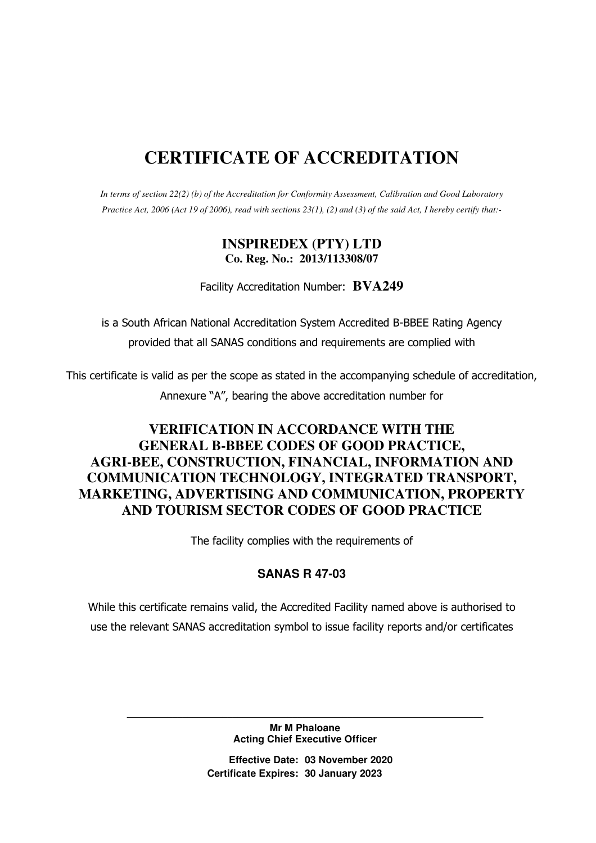# **CERTIFICATE OF ACCREDITATION**

*In terms of section 22(2) (b) of the Accreditation for Conformity Assessment, Calibration and Good Laboratory Practice Act, 2006 (Act 19 of 2006), read with sections 23(1), (2) and (3) of the said Act, I hereby certify that:-* 

### **INSPIREDEX (PTY) LTD Co. Reg. No.: 2013/113308/07**

Facility Accreditation Number: **BVA249**

is a South African National Accreditation System Accredited B-BBEE Rating Agency provided that all SANAS conditions and requirements are complied with

This certificate is valid as per the scope as stated in the accompanying schedule of accreditation, Annexure "A", bearing the above accreditation number for

## **VERIFICATION IN ACCORDANCE WITH THE GENERAL B-BBEE CODES OF GOOD PRACTICE, AGRI-BEE, CONSTRUCTION, FINANCIAL, INFORMATION AND COMMUNICATION TECHNOLOGY, INTEGRATED TRANSPORT, MARKETING, ADVERTISING AND COMMUNICATION, PROPERTY AND TOURISM SECTOR CODES OF GOOD PRACTICE**

The facility complies with the requirements of

#### **SANAS R 47-03**

While this certificate remains valid, the Accredited Facility named above is authorised to use the relevant SANAS accreditation symbol to issue facility reports and/or certificates

> **Mr M Phaloane Acting Chief Executive Officer**

**\_\_\_\_\_\_\_\_\_\_\_\_\_\_\_\_\_\_\_\_\_\_\_\_\_\_\_\_\_\_\_\_\_\_\_\_\_\_\_\_\_\_\_\_\_\_\_\_\_\_\_\_\_\_\_\_\_\_\_\_\_\_\_\_\_\_\_\_\_\_\_** 

**Effective Date: 03 November 2020 Certificate Expires: 30 January 2023**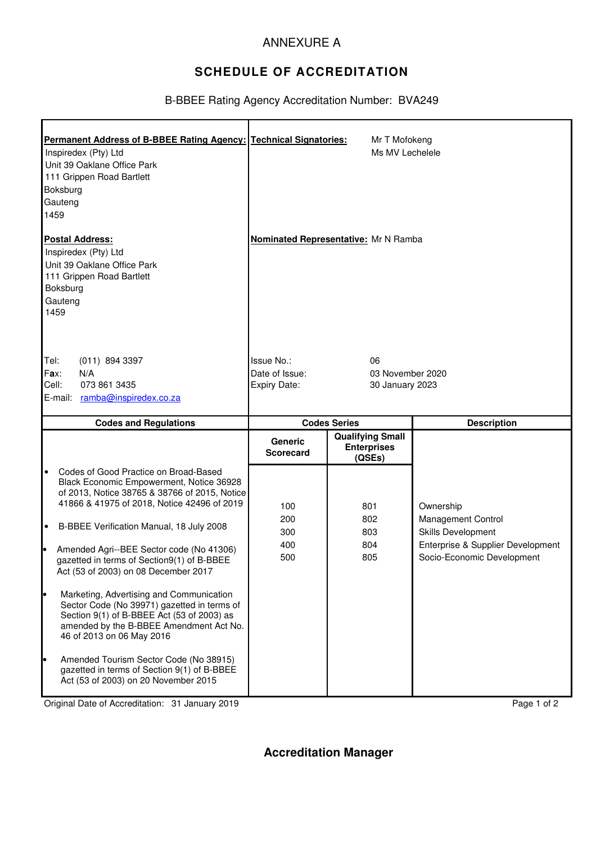### ANNEXURE A

# **SCHEDULE OF ACCREDITATION**

#### B-BBEE Rating Agency Accreditation Number: BVA249

| Permanent Address of B-BBEE Rating Agency: Technical Signatories:<br>Inspiredex (Pty) Ltd<br>Unit 39 Oaklane Office Park<br>111 Grippen Road Bartlett<br>Boksburg<br>Gauteng<br>1459                                                                                                                                                                                                            |                                    | Mr T Mofokeng<br>Ms MV Lechelele                        |                                                                                                                                 |
|-------------------------------------------------------------------------------------------------------------------------------------------------------------------------------------------------------------------------------------------------------------------------------------------------------------------------------------------------------------------------------------------------|------------------------------------|---------------------------------------------------------|---------------------------------------------------------------------------------------------------------------------------------|
| <b>Postal Address:</b><br>Inspiredex (Pty) Ltd<br>Unit 39 Oaklane Office Park<br>111 Grippen Road Bartlett<br>Boksburg<br>Gauteng<br>1459                                                                                                                                                                                                                                                       |                                    | Nominated Representative: Mr N Ramba                    |                                                                                                                                 |
| Tel:<br>$(011)$ 894 3397<br>Fax:<br>N/A                                                                                                                                                                                                                                                                                                                                                         | Issue No.:<br>Date of Issue:       | 06<br>03 November 2020                                  |                                                                                                                                 |
| Cell:<br>073 861 3435<br>E-mail: ramba@inspiredex.co.za                                                                                                                                                                                                                                                                                                                                         | Expiry Date:                       | 30 January 2023                                         |                                                                                                                                 |
| <b>Codes and Regulations</b>                                                                                                                                                                                                                                                                                                                                                                    | <b>Codes Series</b>                |                                                         | <b>Description</b>                                                                                                              |
|                                                                                                                                                                                                                                                                                                                                                                                                 | <b>Generic</b><br><b>Scorecard</b> | <b>Qualifying Small</b><br><b>Enterprises</b><br>(QSEs) |                                                                                                                                 |
| $\bullet$<br>Codes of Good Practice on Broad-Based<br>Black Economic Empowerment, Notice 36928<br>of 2013, Notice 38765 & 38766 of 2015, Notice<br>41866 & 41975 of 2018, Notice 42496 of 2019<br>B-BBEE Verification Manual, 18 July 2008<br>$\bullet$<br>ŀ.<br>Amended Agri--BEE Sector code (No 41306)<br>gazetted in terms of Section9(1) of B-BBEE<br>Act (53 of 2003) on 08 December 2017 | 100<br>200<br>300<br>400<br>500    | 801<br>802<br>803<br>804<br>805                         | Ownership<br><b>Management Control</b><br>Skills Development<br>Enterprise & Supplier Development<br>Socio-Economic Development |
| Marketing, Advertising and Communication<br>Sector Code (No 39971) gazetted in terms of<br>Section 9(1) of B-BBEE Act (53 of 2003) as<br>amended by the B-BBEE Amendment Act No.<br>46 of 2013 on 06 May 2016<br>Amended Tourism Sector Code (No 38915)<br>gazetted in terms of Section 9(1) of B-BBEE<br>Act (53 of 2003) on 20 November 2015                                                  |                                    |                                                         |                                                                                                                                 |

Original Date of Accreditation: 31 January 2019 **Page 1 of 2** Page 1 of 2